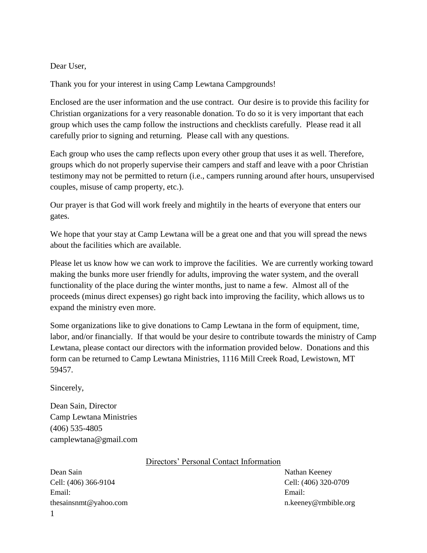Dear User,

Thank you for your interest in using Camp Lewtana Campgrounds!

Enclosed are the user information and the use contract. Our desire is to provide this facility for Christian organizations for a very reasonable donation. To do so it is very important that each group which uses the camp follow the instructions and checklists carefully. Please read it all carefully prior to signing and returning. Please call with any questions.

Each group who uses the camp reflects upon every other group that uses it as well. Therefore, groups which do not properly supervise their campers and staff and leave with a poor Christian testimony may not be permitted to return (i.e., campers running around after hours, unsupervised couples, misuse of camp property, etc.).

Our prayer is that God will work freely and mightily in the hearts of everyone that enters our gates.

We hope that your stay at Camp Lewtana will be a great one and that you will spread the news about the facilities which are available.

Please let us know how we can work to improve the facilities. We are currently working toward making the bunks more user friendly for adults, improving the water system, and the overall functionality of the place during the winter months, just to name a few. Almost all of the proceeds (minus direct expenses) go right back into improving the facility, which allows us to expand the ministry even more.

Some organizations like to give donations to Camp Lewtana in the form of equipment, time, labor, and/or financially. If that would be your desire to contribute towards the ministry of Camp Lewtana, please contact our directors with the information provided below. Donations and this form can be returned to Camp Lewtana Ministries, 1116 Mill Creek Road, Lewistown, MT 59457.

Sincerely,

Dean Sain, Director Camp Lewtana Ministries (406) 535-4805 camplewtana@gmail.com

# Directors' Personal Contact Information

Dean Sain Cell: (406) 366-9104 Email: thesainsnmt@yahoo.com Nathan Keeney Cell: (406) 320-0709 Email: n.keeney@rmbible.org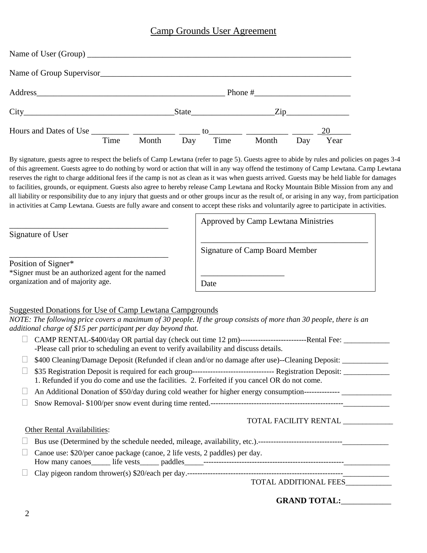# Camp Grounds User Agreement

|  |      |       |     |      |       |     | $\mathsf{Zip}\_$ |
|--|------|-------|-----|------|-------|-----|------------------|
|  | Time | Month | Day | Time | Month | Day | 20<br>Year       |

By signature, guests agree to respect the beliefs of Camp Lewtana (refer to page 5). Guests agree to abide by rules and policies on pages 3-4 of this agreement. Guests agree to do nothing by word or action that will in any way offend the testimony of Camp Lewtana. Camp Lewtana reserves the right to charge additional fees if the camp is not as clean as it was when guests arrived. Guests may be held liable for damages to facilities, grounds, or equipment. Guests also agree to hereby release Camp Lewtana and Rocky Mountain Bible Mission from any and all liability or responsibility due to any injury that guests and or other groups incur as the result of, or arising in any way, from participation in activities at Camp Lewtana. Guests are fully aware and consent to accept these risks and voluntarily agree to participate in activities.

Signature of User

\_\_\_\_\_\_\_\_\_\_\_\_\_\_\_\_\_\_\_\_\_\_\_\_\_\_\_\_\_\_\_\_\_\_\_\_\_\_ Position of Signer\* \*Signer must be an authorized agent for the named organization and of majority age.

Other Rental Availabilities:

\_\_\_\_\_\_\_\_\_\_\_\_\_\_\_\_\_\_\_\_\_\_\_\_\_\_\_\_\_\_\_\_\_\_\_\_\_\_

| Approved by Camp Lewtana Ministries   |
|---------------------------------------|
| <b>Signature of Camp Board Member</b> |
| Date                                  |

# Suggested Donations for Use of Camp Lewtana Campgrounds

*NOTE: The following price covers a maximum of 30 people. If the group consists of more than 30 people, there is an additional charge of \$15 per participant per day beyond that.*

- CAMP RENTAL-\$400/day OR partial day (check out time 12 pm)--------------------------Rental Fee: \_\_\_\_\_\_\_\_\_\_\_\_ -Please call prior to scheduling an event to verify availability and discuss details.
- $\Box$  \$400 Cleaning/Damage Deposit (Refunded if clean and/or no damage after use)--Cleaning Deposit:
- \$35 Registration Deposit is required for each group-------------------------------- Registration Deposit: \_\_\_\_\_\_\_\_\_\_\_\_ 1. Refunded if you do come and use the facilities. 2. Forfeited if you cancel OR do not come.
- $\Box$  An Additional Donation of \$50/day during cold weather for higher energy consumption--------------  $\Box$
- Snow Removal- \$100/per snow event during time rented.----------------------------------------------------\_\_\_\_\_\_\_\_\_\_\_\_

# TOTAL FACILITY RENTAL \_\_\_\_\_\_\_\_\_\_\_

| Canoe use: \$20/per canoe package (canoe, 2 life vests, 2 paddles) per day. |  |  |  |  |  |
|-----------------------------------------------------------------------------|--|--|--|--|--|
| How many canoes life vests paddles                                          |  |  |  |  |  |
|                                                                             |  |  |  |  |  |

TOTAL ADDITIONAL FEES\_\_\_\_\_\_\_\_\_\_\_\_

**GRAND TOTAL:**\_\_\_\_\_\_\_\_\_\_\_\_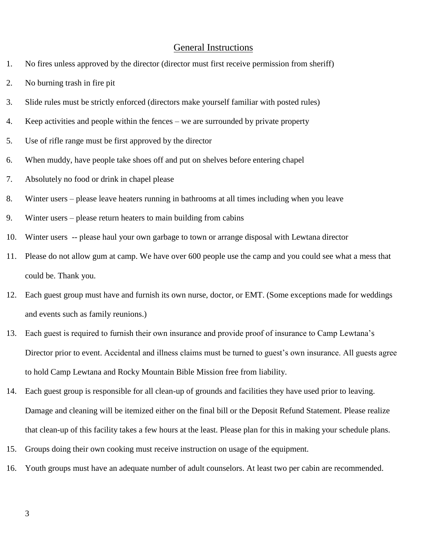# General Instructions

- 1. No fires unless approved by the director (director must first receive permission from sheriff)
- 2. No burning trash in fire pit
- 3. Slide rules must be strictly enforced (directors make yourself familiar with posted rules)
- 4. Keep activities and people within the fences we are surrounded by private property
- 5. Use of rifle range must be first approved by the director
- 6. When muddy, have people take shoes off and put on shelves before entering chapel
- 7. Absolutely no food or drink in chapel please
- 8. Winter users please leave heaters running in bathrooms at all times including when you leave
- 9. Winter users please return heaters to main building from cabins
- 10. Winter users -- please haul your own garbage to town or arrange disposal with Lewtana director
- 11. Please do not allow gum at camp. We have over 600 people use the camp and you could see what a mess that could be. Thank you.
- 12. Each guest group must have and furnish its own nurse, doctor, or EMT. (Some exceptions made for weddings and events such as family reunions.)
- 13. Each guest is required to furnish their own insurance and provide proof of insurance to Camp Lewtana's Director prior to event. Accidental and illness claims must be turned to guest's own insurance. All guests agree to hold Camp Lewtana and Rocky Mountain Bible Mission free from liability.
- 14. Each guest group is responsible for all clean-up of grounds and facilities they have used prior to leaving. Damage and cleaning will be itemized either on the final bill or the Deposit Refund Statement. Please realize that clean-up of this facility takes a few hours at the least. Please plan for this in making your schedule plans.
- 15. Groups doing their own cooking must receive instruction on usage of the equipment.
- 16. Youth groups must have an adequate number of adult counselors. At least two per cabin are recommended.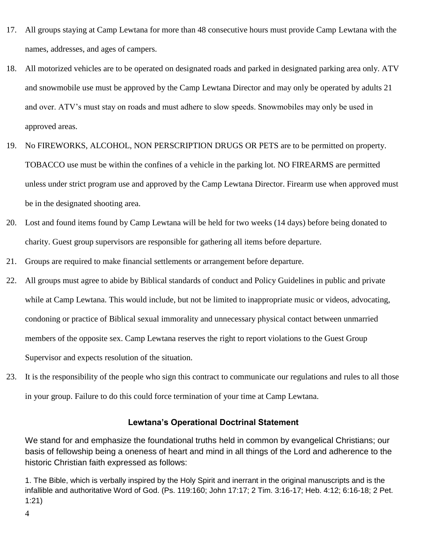- 17. All groups staying at Camp Lewtana for more than 48 consecutive hours must provide Camp Lewtana with the names, addresses, and ages of campers.
- 18. All motorized vehicles are to be operated on designated roads and parked in designated parking area only. ATV and snowmobile use must be approved by the Camp Lewtana Director and may only be operated by adults 21 and over. ATV's must stay on roads and must adhere to slow speeds. Snowmobiles may only be used in approved areas.
- 19. No FIREWORKS, ALCOHOL, NON PERSCRIPTION DRUGS OR PETS are to be permitted on property. TOBACCO use must be within the confines of a vehicle in the parking lot. NO FIREARMS are permitted unless under strict program use and approved by the Camp Lewtana Director. Firearm use when approved must be in the designated shooting area.
- 20. Lost and found items found by Camp Lewtana will be held for two weeks (14 days) before being donated to charity. Guest group supervisors are responsible for gathering all items before departure.
- 21. Groups are required to make financial settlements or arrangement before departure.
- 22. All groups must agree to abide by Biblical standards of conduct and Policy Guidelines in public and private while at Camp Lewtana. This would include, but not be limited to inappropriate music or videos, advocating, condoning or practice of Biblical sexual immorality and unnecessary physical contact between unmarried members of the opposite sex. Camp Lewtana reserves the right to report violations to the Guest Group Supervisor and expects resolution of the situation.
- 23. It is the responsibility of the people who sign this contract to communicate our regulations and rules to all those in your group. Failure to do this could force termination of your time at Camp Lewtana.

#### **Lewtana's Operational Doctrinal Statement**

We stand for and emphasize the foundational truths held in common by evangelical Christians; our basis of fellowship being a oneness of heart and mind in all things of the Lord and adherence to the historic Christian faith expressed as follows:

1. The Bible, which is verbally inspired by the Holy Spirit and inerrant in the original manuscripts and is the infallible and authoritative Word of God. (Ps. 119:160; John 17:17; 2 Tim. 3:16-17; Heb. 4:12; 6:16-18; 2 Pet. 1:21)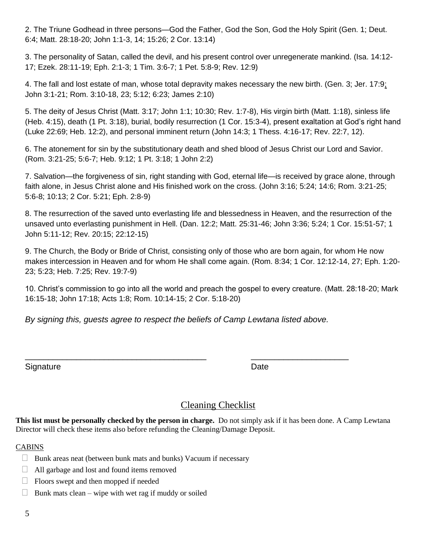2. The Triune Godhead in three persons—God the Father, God the Son, God the Holy Spirit (Gen. 1; Deut. 6:4; Matt. 28:18-20; John 1:1-3, 14; 15:26; 2 Cor. 13:14)

3. The personality of Satan, called the devil, and his present control over unregenerate mankind. (Isa. 14:12- 17; Ezek. 28:11-19; Eph. 2:1-3; 1 Tim. 3:6-7; 1 Pet. 5:8-9; Rev. 12:9)

4. The fall and lost estate of man, whose total depravity makes necessary the new birth. (Gen. 3; Jer. 17:9; John 3:1-21; Rom. 3:10-18, 23; 5:12; 6:23; James 2:10)

5. The deity of Jesus Christ (Matt. 3:17; John 1:1; 10:30; Rev. 1:7-8), His virgin birth (Matt. 1:18), sinless life (Heb. 4:15), death (1 Pt. 3:18), burial, bodily resurrection (1 Cor. 15:3-4), present exaltation at God's right hand (Luke 22:69; Heb. 12:2), and personal imminent return (John 14:3; 1 Thess. 4:16-17; Rev. 22:7, 12).

6. The atonement for sin by the substitutionary death and shed blood of Jesus Christ our Lord and Savior. (Rom. 3:21-25; 5:6-7; Heb. 9:12; 1 Pt. 3:18; 1 John 2:2)

7. Salvation—the forgiveness of sin, right standing with God, eternal life—is received by grace alone, through faith alone, in Jesus Christ alone and His finished work on the cross. (John 3:16; 5:24; 14:6; Rom. 3:21-25; 5:6-8; 10:13; 2 Cor. 5:21; Eph. 2:8-9)

8. The resurrection of the saved unto everlasting life and blessedness in Heaven, and the resurrection of the unsaved unto everlasting punishment in Hell. (Dan. 12:2; Matt. 25:31-46; John 3:36; 5:24; 1 Cor. 15:51-57; 1 John 5:11-12; Rev. 20:15; 22:12-15)

9. The Church, the Body or Bride of Christ, consisting only of those who are born again, for whom He now makes intercession in Heaven and for whom He shall come again. (Rom. 8:34; 1 Cor. 12:12-14, 27; Eph. 1:20- 23; 5:23; Heb. 7:25; Rev. 19:7-9)

10. Christ's commission to go into all the world and preach the gospel to every creature. (Matt. 28:18-20; Mark 16:15-18; John 17:18; Acts 1:8; Rom. 10:14-15; 2 Cor. 5:18-20)

*By signing this, guests agree to respect the beliefs of Camp Lewtana listed above.*

 $\overline{\phantom{a}}$  , and the contribution of the contribution of the contribution of  $\overline{\phantom{a}}$  , and  $\overline{\phantom{a}}$  , and  $\overline{\phantom{a}}$  , and  $\overline{\phantom{a}}$  , and  $\overline{\phantom{a}}$  , and  $\overline{\phantom{a}}$  , and  $\overline{\phantom{a}}$  , and  $\overline{\phantom{a}}$  , and

Signature Date Date Date

# Cleaning Checklist

**This list must be personally checked by the person in charge.** Do not simply ask if it has been done. A Camp Lewtana Director will check these items also before refunding the Cleaning/Damage Deposit.

#### **CABINS**

- $\Box$  Bunk areas neat (between bunk mats and bunks) Vacuum if necessary
- $\Box$  All garbage and lost and found items removed
- $\Box$  Floors swept and then mopped if needed
- $\Box$  Bunk mats clean wipe with wet rag if muddy or soiled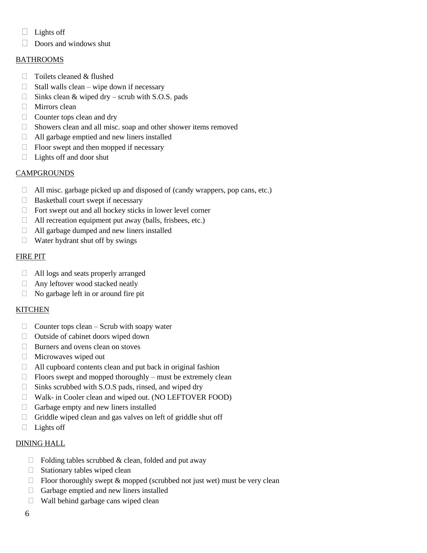- $\Box$  Lights off
- Doors and windows shut

#### BATHROOMS

- $\Box$  Toilets cleaned & flushed
- $\Box$  Stall walls clean wipe down if necessary
- $\Box$  Sinks clean & wiped dry scrub with S.O.S. pads
- **Mirrors** clean
- $\Box$  Counter tops clean and dry
- $\Box$  Showers clean and all misc. soap and other shower items removed
- All garbage emptied and new liners installed
- $\Box$  Floor swept and then mopped if necessary
- Lights off and door shut

# **CAMPGROUNDS**

- $\Box$  All misc. garbage picked up and disposed of (candy wrappers, pop cans, etc.)
- $\Box$  Basketball court swept if necessary
- $\Box$  Fort swept out and all hockey sticks in lower level corner
- $\Box$  All recreation equipment put away (balls, frisbees, etc.)
- $\Box$  All garbage dumped and new liners installed
- $\Box$  Water hydrant shut off by swings

#### FIRE PIT

- All logs and seats properly arranged
- Any leftover wood stacked neatly
- □ No garbage left in or around fire pit

# **KITCHEN**

- $\Box$  Counter tops clean Scrub with soapy water
- $\Box$  Outside of cabinet doors wiped down
- $\Box$  Burners and ovens clean on stoves
- $\Box$  Microwaves wiped out
- $\Box$  All cupboard contents clean and put back in original fashion
- $\Box$  Floors swept and mopped thoroughly must be extremely clean
- $\Box$  Sinks scrubbed with S.O.S pads, rinsed, and wiped dry
- Walk- in Cooler clean and wiped out. (NO LEFTOVER FOOD)
- $\Box$  Garbage empty and new liners installed
- $\Box$  Griddle wiped clean and gas valves on left of griddle shut off
- $\Box$  Lights off

# DINING HALL

- $\Box$  Folding tables scrubbed & clean, folded and put away
- $\Box$  Stationary tables wiped clean
- $\Box$  Floor thoroughly swept & mopped (scrubbed not just wet) must be very clean
- Garbage emptied and new liners installed
- $\Box$  Wall behind garbage cans wiped clean